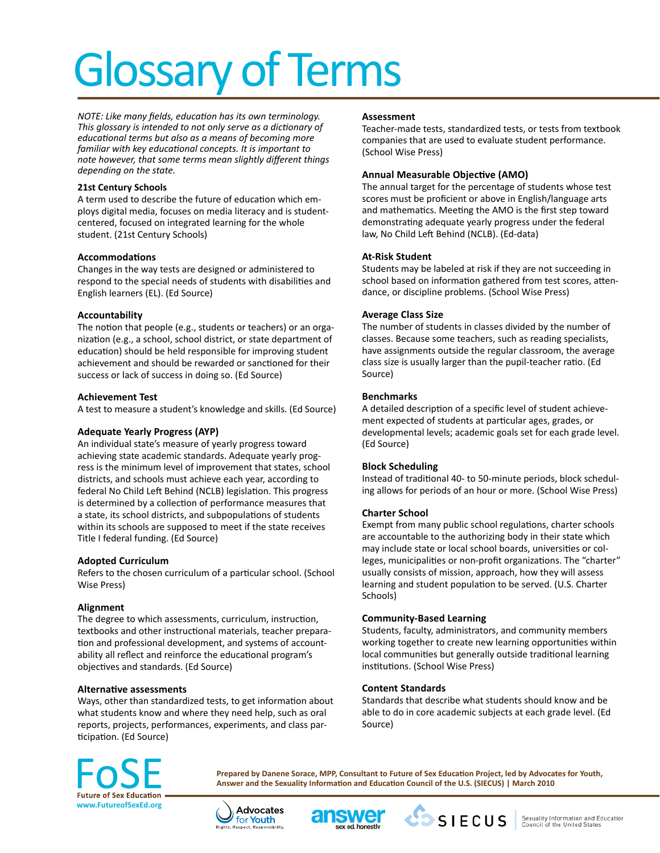# Glossary of Terms

*NOTE: Like many fields, education has its own terminology. This glossary is intended to not only serve as a dictionary of educational terms but also as a means of becoming more familiar with key educational concepts. It is important to note however, that some terms mean slightly different things depending on the state.*

## **21st Century Schools**

A term used to describe the future of education which employs digital media, focuses on media literacy and is studentcentered, focused on integrated learning for the whole student. (21st Century Schools)

# **Accommodations**

Changes in the way tests are designed or administered to respond to the special needs of students with disabilities and English learners (EL). (Ed Source)

## **Accountability**

The notion that people (e.g., students or teachers) or an organization (e.g., a school, school district, or state department of education) should be held responsible for improving student achievement and should be rewarded or sanctioned for their success or lack of success in doing so. (Ed Source)

# **Achievement Test**

A test to measure a student's knowledge and skills. (Ed Source)

# **Adequate Yearly Progress (AYP)**

An individual state's measure of yearly progress toward achieving state academic standards. Adequate yearly progress is the minimum level of improvement that states, school districts, and schools must achieve each year, according to federal No Child Left Behind (NCLB) legislation. This progress is determined by a collection of performance measures that a state, its school districts, and subpopulations of students within its schools are supposed to meet if the state receives Title I federal funding. (Ed Source)

#### **Adopted Curriculum**

Refers to the chosen curriculum of a particular school. (School Wise Press)

# **Alignment**

The degree to which assessments, curriculum, instruction, textbooks and other instructional materials, teacher preparation and professional development, and systems of accountability all reflect and reinforce the educational program's objectives and standards. (Ed Source)

# **Alternative assessments**

Ways, other than standardized tests, to get information about what students know and where they need help, such as oral reports, projects, performances, experiments, and class participation. (Ed Source)

#### **Assessment**

Teacher-made tests, standardized tests, or tests from textbook companies that are used to evaluate student performance. (School Wise Press)

## **Annual Measurable Objective (AMO)**

The annual target for the percentage of students whose test scores must be proficient or above in English/language arts and mathematics. Meeting the AMO is the first step toward demonstrating adequate yearly progress under the federal law, No Child Left Behind (NCLB). (Ed-data)

## **At-Risk Student**

Students may be labeled at risk if they are not succeeding in school based on information gathered from test scores, attendance, or discipline problems. (School Wise Press)

## **Average Class Size**

The number of students in classes divided by the number of classes. Because some teachers, such as reading specialists, have assignments outside the regular classroom, the average class size is usually larger than the pupil-teacher ratio. (Ed Source)

# **Benchmarks**

A detailed description of a specific level of student achievement expected of students at particular ages, grades, or developmental levels; academic goals set for each grade level. (Ed Source)

#### **Block Scheduling**

Instead of traditional 40- to 50-minute periods, block scheduling allows for periods of an hour or more. (School Wise Press)

# **Charter School**

Exempt from many public school regulations, charter schools are accountable to the authorizing body in their state which may include state or local school boards, universities or colleges, municipalities or non-profit organizations. The "charter" usually consists of mission, approach, how they will assess learning and student population to be served. (U.S. Charter Schools)

# **Community-Based Learning**

Students, faculty, administrators, and community members working together to create new learning opportunities within local communities but generally outside traditional learning institutions. (School Wise Press)

#### **Content Standards**

Standards that describe what students should know and be able to do in core academic subjects at each grade level. (Ed Source)



**Prepared by Danene Sorace, MPP, Consultant to Future of Sex Education Project, led by Advocates for Youth, Answer and the Sexuality Information and Education Council of the U.S. (SIECUS) | March 2010**